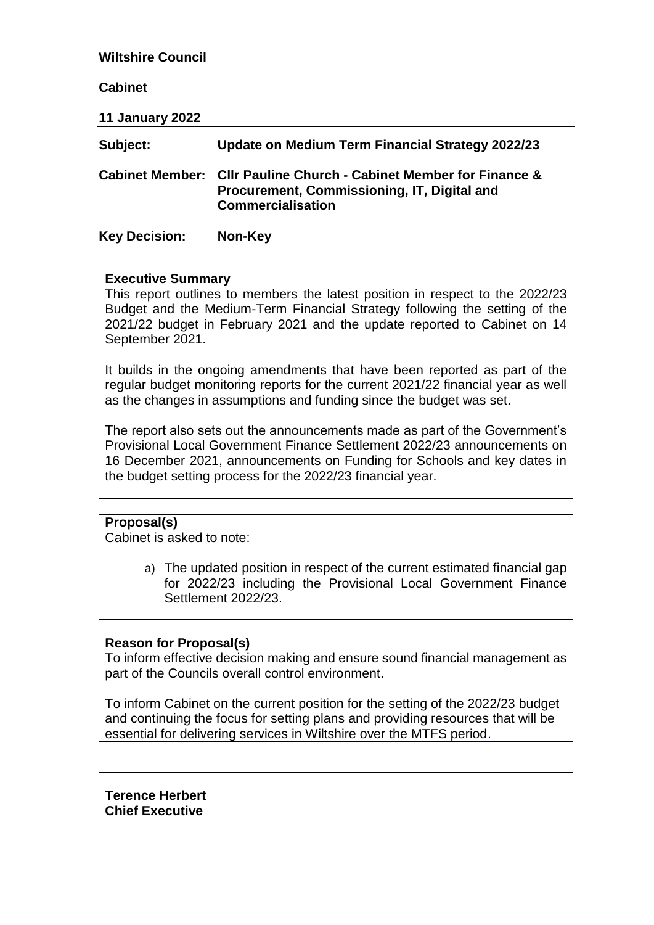### **Wiltshire Council**

### **Cabinet**

**11 January 2022**

| Subject:             | Update on Medium Term Financial Strategy 2022/23                                                                                              |
|----------------------|-----------------------------------------------------------------------------------------------------------------------------------------------|
|                      | Cabinet Member: Cllr Pauline Church - Cabinet Member for Finance &<br>Procurement, Commissioning, IT, Digital and<br><b>Commercialisation</b> |
| <b>Key Decision:</b> | Non-Key                                                                                                                                       |

#### **Executive Summary**

This report outlines to members the latest position in respect to the 2022/23 Budget and the Medium-Term Financial Strategy following the setting of the 2021/22 budget in February 2021 and the update reported to Cabinet on 14 September 2021.

It builds in the ongoing amendments that have been reported as part of the regular budget monitoring reports for the current 2021/22 financial year as well as the changes in assumptions and funding since the budget was set.

The report also sets out the announcements made as part of the Government's Provisional Local Government Finance Settlement 2022/23 announcements on 16 December 2021, announcements on Funding for Schools and key dates in the budget setting process for the 2022/23 financial year.

#### **Proposal(s)**

Cabinet is asked to note:

a) The updated position in respect of the current estimated financial gap for 2022/23 including the Provisional Local Government Finance Settlement 2022/23.

#### **Reason for Proposal(s)**

To inform effective decision making and ensure sound financial management as part of the Councils overall control environment.

To inform Cabinet on the current position for the setting of the 2022/23 budget and continuing the focus for setting plans and providing resources that will be essential for delivering services in Wiltshire over the MTFS period.

**Terence Herbert Chief Executive**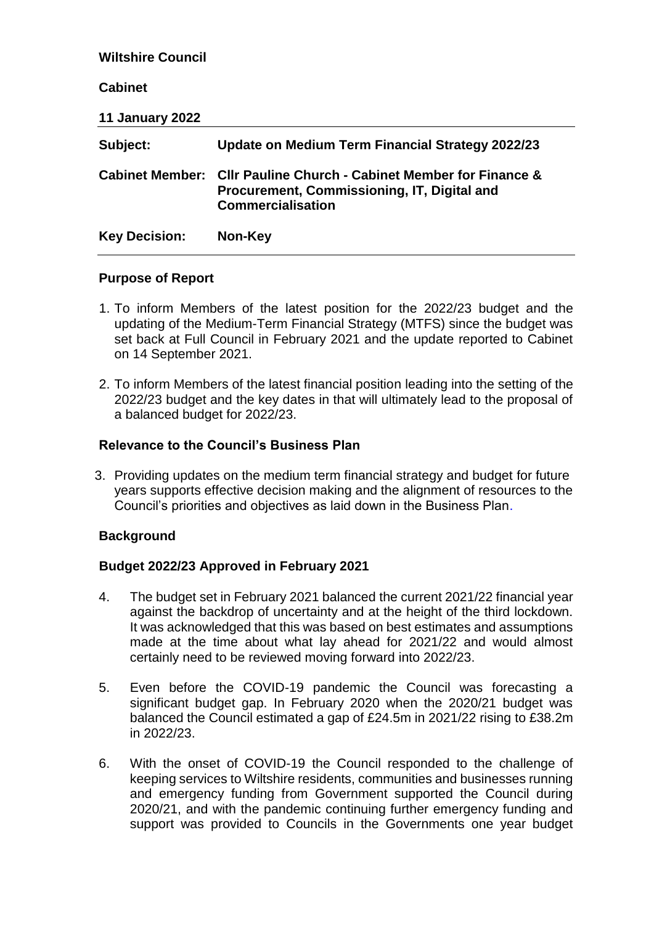| <b>Wiltshire Council</b> |                                                                                                                                          |
|--------------------------|------------------------------------------------------------------------------------------------------------------------------------------|
| <b>Cabinet</b>           |                                                                                                                                          |
| <b>11 January 2022</b>   |                                                                                                                                          |
| Subject:                 | Update on Medium Term Financial Strategy 2022/23                                                                                         |
| <b>Cabinet Member:</b>   | <b>CIIr Pauline Church - Cabinet Member for Finance &amp;</b><br>Procurement, Commissioning, IT, Digital and<br><b>Commercialisation</b> |
| <b>Key Decision:</b>     | Non-Key                                                                                                                                  |

## **Purpose of Report**

- 1. To inform Members of the latest position for the 2022/23 budget and the updating of the Medium-Term Financial Strategy (MTFS) since the budget was set back at Full Council in February 2021 and the update reported to Cabinet on 14 September 2021.
- 2. To inform Members of the latest financial position leading into the setting of the 2022/23 budget and the key dates in that will ultimately lead to the proposal of a balanced budget for 2022/23.

## **Relevance to the Council's Business Plan**

3. Providing updates on the medium term financial strategy and budget for future years supports effective decision making and the alignment of resources to the Council's priorities and objectives as laid down in the Business Plan.

## **Background**

## **Budget 2022/23 Approved in February 2021**

- 4. The budget set in February 2021 balanced the current 2021/22 financial year against the backdrop of uncertainty and at the height of the third lockdown. It was acknowledged that this was based on best estimates and assumptions made at the time about what lay ahead for 2021/22 and would almost certainly need to be reviewed moving forward into 2022/23.
- 5. Even before the COVID-19 pandemic the Council was forecasting a significant budget gap. In February 2020 when the 2020/21 budget was balanced the Council estimated a gap of £24.5m in 2021/22 rising to £38.2m in 2022/23.
- 6. With the onset of COVID-19 the Council responded to the challenge of keeping services to Wiltshire residents, communities and businesses running and emergency funding from Government supported the Council during 2020/21, and with the pandemic continuing further emergency funding and support was provided to Councils in the Governments one year budget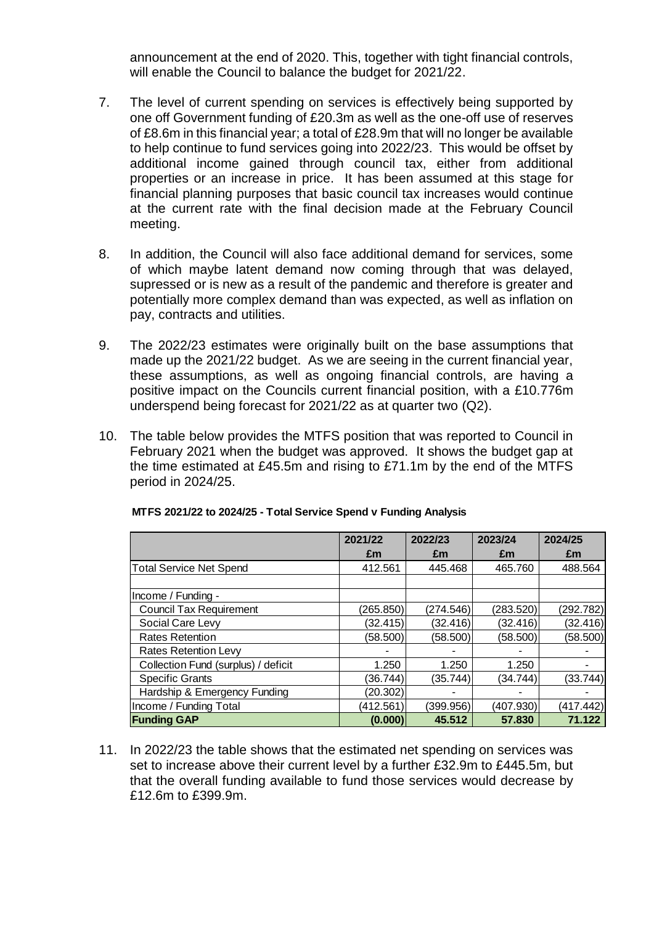announcement at the end of 2020. This, together with tight financial controls, will enable the Council to balance the budget for 2021/22.

- 7. The level of current spending on services is effectively being supported by one off Government funding of £20.3m as well as the one-off use of reserves of £8.6m in this financial year; a total of £28.9m that will no longer be available to help continue to fund services going into 2022/23. This would be offset by additional income gained through council tax, either from additional properties or an increase in price. It has been assumed at this stage for financial planning purposes that basic council tax increases would continue at the current rate with the final decision made at the February Council meeting.
- 8. In addition, the Council will also face additional demand for services, some of which maybe latent demand now coming through that was delayed, supressed or is new as a result of the pandemic and therefore is greater and potentially more complex demand than was expected, as well as inflation on pay, contracts and utilities.
- 9. The 2022/23 estimates were originally built on the base assumptions that made up the 2021/22 budget. As we are seeing in the current financial year, these assumptions, as well as ongoing financial controls, are having a positive impact on the Councils current financial position, with a £10.776m underspend being forecast for 2021/22 as at quarter two (Q2).
- 10. The table below provides the MTFS position that was reported to Council in February 2021 when the budget was approved. It shows the budget gap at the time estimated at £45.5m and rising to £71.1m by the end of the MTFS period in 2024/25.

|                                     | 2021/22   | 2022/23   | 2023/24   | 2024/25   |
|-------------------------------------|-----------|-----------|-----------|-----------|
|                                     | £m        | £m        | £m        | £m        |
| <b>Total Service Net Spend</b>      | 412.561   | 445.468   | 465.760   | 488.564   |
|                                     |           |           |           |           |
| Income / Funding -                  |           |           |           |           |
| <b>Council Tax Requirement</b>      | (265.850) | (274.546) | (283.520) | (292.782) |
| Social Care Levy                    | (32.415)  | (32.416)  | (32.416)  | (32.416)  |
| <b>Rates Retention</b>              | (58.500)  | (58.500)  | (58.500)  | (58.500)  |
| <b>Rates Retention Levy</b>         |           |           |           |           |
| Collection Fund (surplus) / deficit | 1.250     | 1.250     | 1.250     |           |
| <b>Specific Grants</b>              | (36.744)  | (35.744)  | (34.744)  | (33.744)  |
| Hardship & Emergency Funding        | (20.302)  |           |           |           |
| Income / Funding Total              | (412.561) | (399.956) | (407.930) | (417.442) |
| <b>Funding GAP</b>                  | (0.000)   | 45.512    | 57.830    | 71.122    |

| MTFS 2021/22 to 2024/25 - Total Service Spend v Funding Analysis |  |  |  |
|------------------------------------------------------------------|--|--|--|
|                                                                  |  |  |  |

11. In 2022/23 the table shows that the estimated net spending on services was set to increase above their current level by a further £32.9m to £445.5m, but that the overall funding available to fund those services would decrease by £12.6m to £399.9m.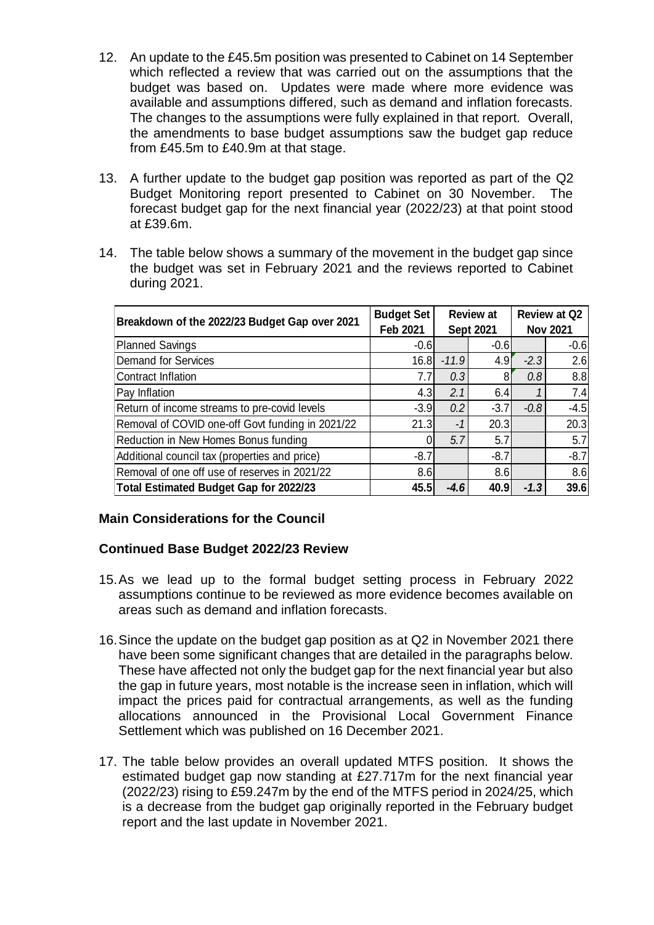- 12. An update to the £45.5m position was presented to Cabinet on 14 September which reflected a review that was carried out on the assumptions that the budget was based on. Updates were made where more evidence was available and assumptions differed, such as demand and inflation forecasts. The changes to the assumptions were fully explained in that report. Overall, the amendments to base budget assumptions saw the budget gap reduce from £45.5m to £40.9m at that stage.
- 13. A further update to the budget gap position was reported as part of the Q2 Budget Monitoring report presented to Cabinet on 30 November. The forecast budget gap for the next financial year (2022/23) at that point stood at £39.6m.
- 14. The table below shows a summary of the movement in the budget gap since the budget was set in February 2021 and the reviews reported to Cabinet during 2021.

| Breakdown of the 2022/23 Budget Gap over 2021    | <b>Budget Set</b><br><b>Feb 2021</b> | <b>Review at</b><br><b>Sept 2021</b> |        | <b>Review at Q2</b><br><b>Nov 2021</b> |        |
|--------------------------------------------------|--------------------------------------|--------------------------------------|--------|----------------------------------------|--------|
| <b>Planned Savings</b>                           | $-0.6$                               |                                      | $-0.6$ |                                        | $-0.6$ |
| Demand for Services                              | 16.8                                 | $-11.9$                              | 4.9    | $-2.3$                                 | 2.6    |
| <b>Contract Inflation</b>                        | 7.7                                  | 0.3                                  | 81     | 0.8                                    | 8.8    |
| Pay Inflation                                    | 4.3                                  | 2.1                                  | 6.4    |                                        | 7.4    |
| Return of income streams to pre-covid levels     | $-3.9$                               | 0.2                                  | $-3.7$ | $-0.8$                                 | $-4.5$ |
| Removal of COVID one-off Govt funding in 2021/22 | 21.3                                 | -1                                   | 20.3   |                                        | 20.3   |
| Reduction in New Homes Bonus funding             |                                      | 5.7                                  | 5.7    |                                        | 5.7    |
| Additional council tax (properties and price)    | $-8.7$                               |                                      | $-8.7$ |                                        | $-8.7$ |
| Removal of one off use of reserves in 2021/22    | 8.6                                  |                                      | 8.6    |                                        | 8.6    |
| Total Estimated Budget Gap for 2022/23           | 45.5                                 | $-4.6$                               | 40.9   | $-1.3$                                 | 39.6   |

## **Main Considerations for the Council**

# **Continued Base Budget 2022/23 Review**

- 15.As we lead up to the formal budget setting process in February 2022 assumptions continue to be reviewed as more evidence becomes available on areas such as demand and inflation forecasts.
- 16.Since the update on the budget gap position as at Q2 in November 2021 there have been some significant changes that are detailed in the paragraphs below. These have affected not only the budget gap for the next financial year but also the gap in future years, most notable is the increase seen in inflation, which will impact the prices paid for contractual arrangements, as well as the funding allocations announced in the Provisional Local Government Finance Settlement which was published on 16 December 2021.
- 17. The table below provides an overall updated MTFS position. It shows the estimated budget gap now standing at £27.717m for the next financial year (2022/23) rising to £59.247m by the end of the MTFS period in 2024/25, which is a decrease from the budget gap originally reported in the February budget report and the last update in November 2021.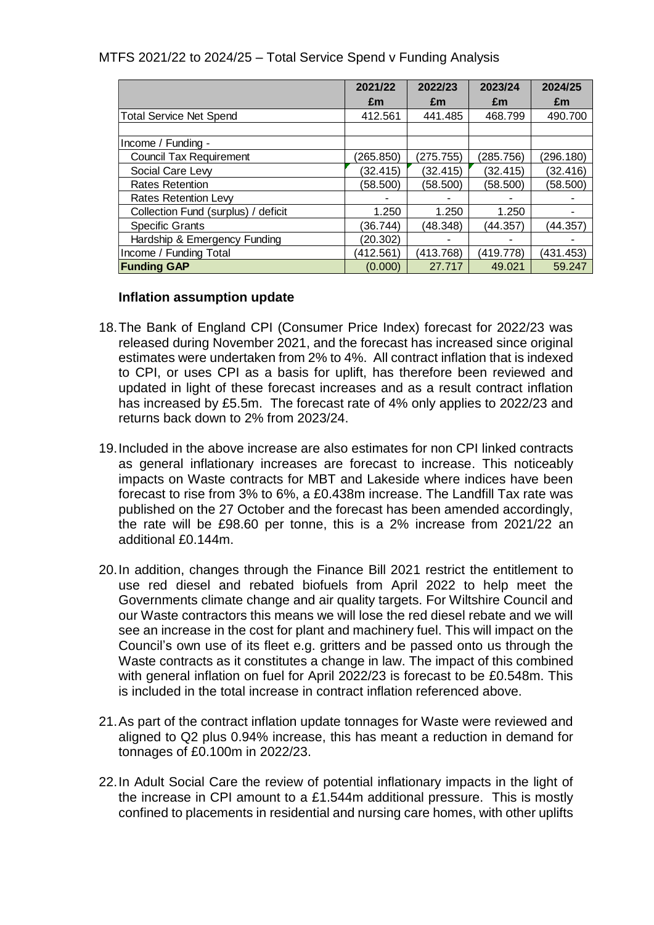### MTFS 2021/22 to 2024/25 – Total Service Spend v Funding Analysis

|                                     | 2021/22   | 2022/23   | 2023/24   | 2024/25   |
|-------------------------------------|-----------|-----------|-----------|-----------|
|                                     | £m        | £m        | £m        | £m        |
| <b>Total Service Net Spend</b>      | 412.561   | 441.485   | 468.799   | 490.700   |
|                                     |           |           |           |           |
| Income / Funding -                  |           |           |           |           |
| <b>Council Tax Requirement</b>      | (265.850) | (275.755) | (285.756) | (296.180) |
| Social Care Levy                    | (32.415)  | (32.415)  | (32.415)  | (32.416)  |
| <b>Rates Retention</b>              | (58.500)  | (58.500)  | (58.500)  | (58.500)  |
| <b>Rates Retention Lew</b>          |           |           |           |           |
| Collection Fund (surplus) / deficit | 1.250     | 1.250     | 1.250     |           |
| <b>Specific Grants</b>              | (36.744)  | (48.348)  | (44.357)  | (44.357)  |
| Hardship & Emergency Funding        | (20.302)  |           |           |           |
| Income / Funding Total              | (412.561) | (413.768) | (419.778) | (431.453) |
| <b>Funding GAP</b>                  | (0.000)   | 27.717    | 49.021    | 59.247    |

### **Inflation assumption update**

- 18.The Bank of England CPI (Consumer Price Index) forecast for 2022/23 was released during November 2021, and the forecast has increased since original estimates were undertaken from 2% to 4%. All contract inflation that is indexed to CPI, or uses CPI as a basis for uplift, has therefore been reviewed and updated in light of these forecast increases and as a result contract inflation has increased by £5.5m. The forecast rate of 4% only applies to 2022/23 and returns back down to 2% from 2023/24.
- 19.Included in the above increase are also estimates for non CPI linked contracts as general inflationary increases are forecast to increase. This noticeably impacts on Waste contracts for MBT and Lakeside where indices have been forecast to rise from 3% to 6%, a £0.438m increase. The Landfill Tax rate was published on the 27 October and the forecast has been amended accordingly, the rate will be £98.60 per tonne, this is a 2% increase from 2021/22 an additional £0.144m.
- 20.In addition, changes through the Finance Bill 2021 restrict the entitlement to use red diesel and rebated biofuels from April 2022 to help meet the Governments climate change and air quality targets. For Wiltshire Council and our Waste contractors this means we will lose the red diesel rebate and we will see an increase in the cost for plant and machinery fuel. This will impact on the Council's own use of its fleet e.g. gritters and be passed onto us through the Waste contracts as it constitutes a change in law. The impact of this combined with general inflation on fuel for April 2022/23 is forecast to be £0.548m. This is included in the total increase in contract inflation referenced above.
- 21.As part of the contract inflation update tonnages for Waste were reviewed and aligned to Q2 plus 0.94% increase, this has meant a reduction in demand for tonnages of £0.100m in 2022/23.
- 22.In Adult Social Care the review of potential inflationary impacts in the light of the increase in CPI amount to a £1.544m additional pressure. This is mostly confined to placements in residential and nursing care homes, with other uplifts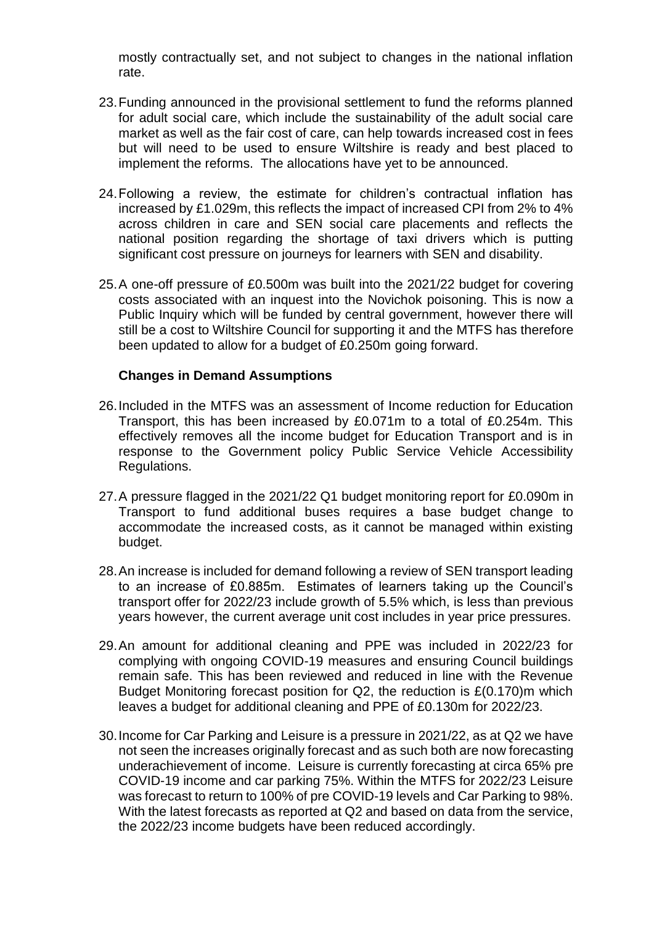mostly contractually set, and not subject to changes in the national inflation rate.

- 23.Funding announced in the provisional settlement to fund the reforms planned for adult social care, which include the sustainability of the adult social care market as well as the fair cost of care, can help towards increased cost in fees but will need to be used to ensure Wiltshire is ready and best placed to implement the reforms. The allocations have yet to be announced.
- 24.Following a review, the estimate for children's contractual inflation has increased by £1.029m, this reflects the impact of increased CPI from 2% to 4% across children in care and SEN social care placements and reflects the national position regarding the shortage of taxi drivers which is putting significant cost pressure on journeys for learners with SEN and disability.
- 25.A one-off pressure of £0.500m was built into the 2021/22 budget for covering costs associated with an inquest into the Novichok poisoning. This is now a Public Inquiry which will be funded by central government, however there will still be a cost to Wiltshire Council for supporting it and the MTFS has therefore been updated to allow for a budget of £0.250m going forward.

### **Changes in Demand Assumptions**

- 26.Included in the MTFS was an assessment of Income reduction for Education Transport, this has been increased by £0.071m to a total of £0.254m. This effectively removes all the income budget for Education Transport and is in response to the Government policy Public Service Vehicle Accessibility Regulations.
- 27.A pressure flagged in the 2021/22 Q1 budget monitoring report for £0.090m in Transport to fund additional buses requires a base budget change to accommodate the increased costs, as it cannot be managed within existing budget.
- 28.An increase is included for demand following a review of SEN transport leading to an increase of £0.885m. Estimates of learners taking up the Council's transport offer for 2022/23 include growth of 5.5% which, is less than previous years however, the current average unit cost includes in year price pressures.
- 29.An amount for additional cleaning and PPE was included in 2022/23 for complying with ongoing COVID-19 measures and ensuring Council buildings remain safe. This has been reviewed and reduced in line with the Revenue Budget Monitoring forecast position for Q2, the reduction is £(0.170)m which leaves a budget for additional cleaning and PPE of £0.130m for 2022/23.
- 30.Income for Car Parking and Leisure is a pressure in 2021/22, as at Q2 we have not seen the increases originally forecast and as such both are now forecasting underachievement of income. Leisure is currently forecasting at circa 65% pre COVID-19 income and car parking 75%. Within the MTFS for 2022/23 Leisure was forecast to return to 100% of pre COVID-19 levels and Car Parking to 98%. With the latest forecasts as reported at Q2 and based on data from the service, the 2022/23 income budgets have been reduced accordingly.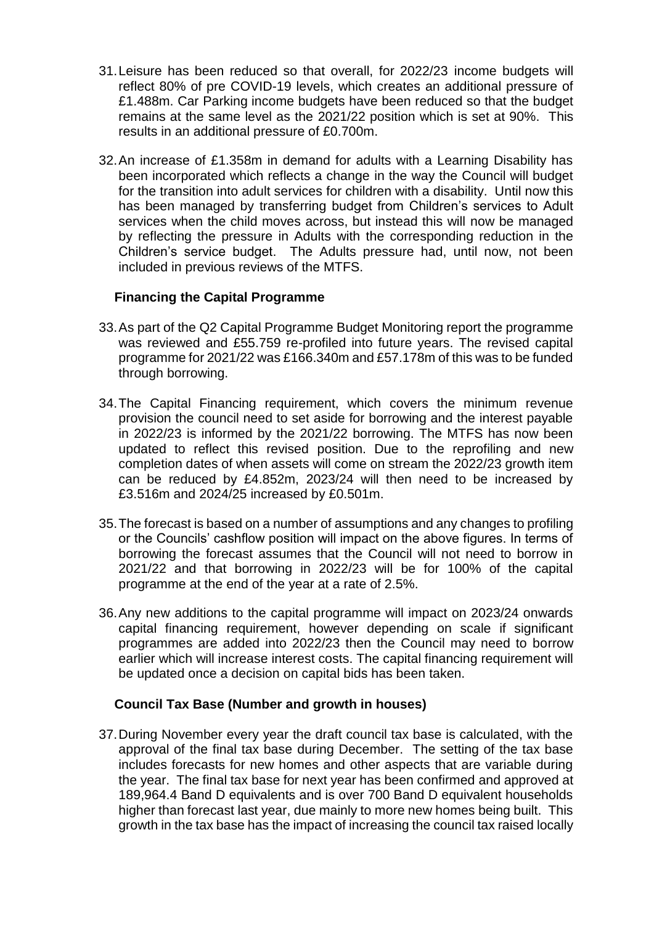- 31.Leisure has been reduced so that overall, for 2022/23 income budgets will reflect 80% of pre COVID-19 levels, which creates an additional pressure of £1.488m. Car Parking income budgets have been reduced so that the budget remains at the same level as the 2021/22 position which is set at 90%. This results in an additional pressure of £0.700m.
- 32.An increase of £1.358m in demand for adults with a Learning Disability has been incorporated which reflects a change in the way the Council will budget for the transition into adult services for children with a disability. Until now this has been managed by transferring budget from Children's services to Adult services when the child moves across, but instead this will now be managed by reflecting the pressure in Adults with the corresponding reduction in the Children's service budget. The Adults pressure had, until now, not been included in previous reviews of the MTFS.

## **Financing the Capital Programme**

- 33.As part of the Q2 Capital Programme Budget Monitoring report the programme was reviewed and £55.759 re-profiled into future years. The revised capital programme for 2021/22 was £166.340m and £57.178m of this was to be funded through borrowing.
- 34.The Capital Financing requirement, which covers the minimum revenue provision the council need to set aside for borrowing and the interest payable in 2022/23 is informed by the 2021/22 borrowing. The MTFS has now been updated to reflect this revised position. Due to the reprofiling and new completion dates of when assets will come on stream the 2022/23 growth item can be reduced by £4.852m, 2023/24 will then need to be increased by £3.516m and 2024/25 increased by £0.501m.
- 35.The forecast is based on a number of assumptions and any changes to profiling or the Councils' cashflow position will impact on the above figures. In terms of borrowing the forecast assumes that the Council will not need to borrow in 2021/22 and that borrowing in 2022/23 will be for 100% of the capital programme at the end of the year at a rate of 2.5%.
- 36.Any new additions to the capital programme will impact on 2023/24 onwards capital financing requirement, however depending on scale if significant programmes are added into 2022/23 then the Council may need to borrow earlier which will increase interest costs. The capital financing requirement will be updated once a decision on capital bids has been taken.

## **Council Tax Base (Number and growth in houses)**

37.During November every year the draft council tax base is calculated, with the approval of the final tax base during December. The setting of the tax base includes forecasts for new homes and other aspects that are variable during the year. The final tax base for next year has been confirmed and approved at 189,964.4 Band D equivalents and is over 700 Band D equivalent households higher than forecast last year, due mainly to more new homes being built. This growth in the tax base has the impact of increasing the council tax raised locally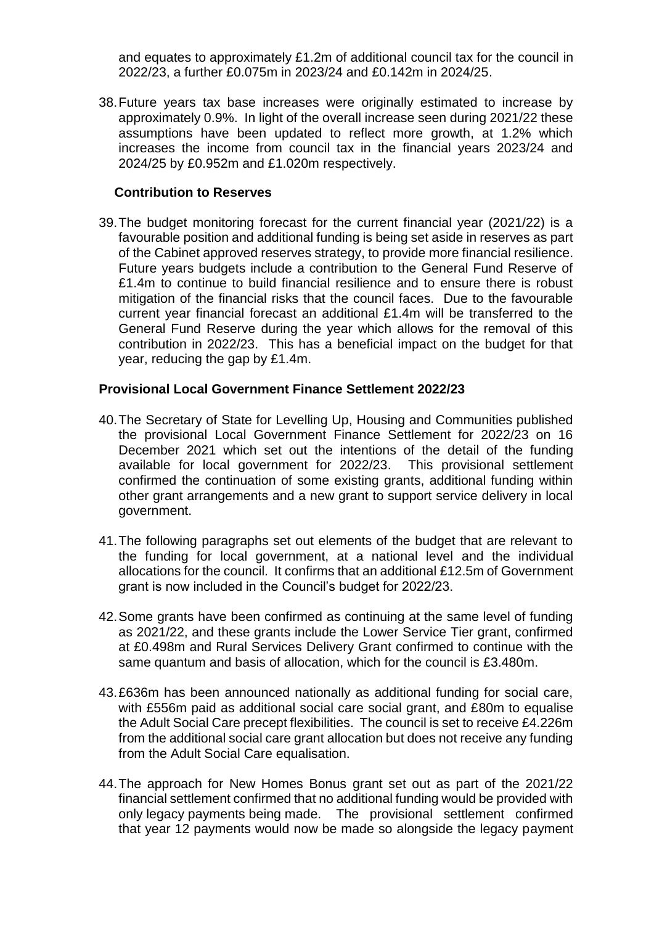and equates to approximately £1.2m of additional council tax for the council in 2022/23, a further £0.075m in 2023/24 and £0.142m in 2024/25.

38.Future years tax base increases were originally estimated to increase by approximately 0.9%. In light of the overall increase seen during 2021/22 these assumptions have been updated to reflect more growth, at 1.2% which increases the income from council tax in the financial years 2023/24 and 2024/25 by £0.952m and £1.020m respectively.

### **Contribution to Reserves**

39.The budget monitoring forecast for the current financial year (2021/22) is a favourable position and additional funding is being set aside in reserves as part of the Cabinet approved reserves strategy, to provide more financial resilience. Future years budgets include a contribution to the General Fund Reserve of £1.4m to continue to build financial resilience and to ensure there is robust mitigation of the financial risks that the council faces. Due to the favourable current year financial forecast an additional £1.4m will be transferred to the General Fund Reserve during the year which allows for the removal of this contribution in 2022/23. This has a beneficial impact on the budget for that year, reducing the gap by £1.4m.

### **Provisional Local Government Finance Settlement 2022/23**

- 40.The Secretary of State for Levelling Up, Housing and Communities published the provisional Local Government Finance Settlement for 2022/23 on 16 December 2021 which set out the intentions of the detail of the funding available for local government for 2022/23. This provisional settlement confirmed the continuation of some existing grants, additional funding within other grant arrangements and a new grant to support service delivery in local government.
- 41.The following paragraphs set out elements of the budget that are relevant to the funding for local government, at a national level and the individual allocations for the council. It confirms that an additional £12.5m of Government grant is now included in the Council's budget for 2022/23.
- 42.Some grants have been confirmed as continuing at the same level of funding as 2021/22, and these grants include the Lower Service Tier grant, confirmed at £0.498m and Rural Services Delivery Grant confirmed to continue with the same quantum and basis of allocation, which for the council is £3.480m.
- 43.£636m has been announced nationally as additional funding for social care, with £556m paid as additional social care social grant, and £80m to equalise the Adult Social Care precept flexibilities. The council is set to receive £4.226m from the additional social care grant allocation but does not receive any funding from the Adult Social Care equalisation.
- 44.The approach for New Homes Bonus grant set out as part of the 2021/22 financial settlement confirmed that no additional funding would be provided with only legacy payments being made. The provisional settlement confirmed that year 12 payments would now be made so alongside the legacy payment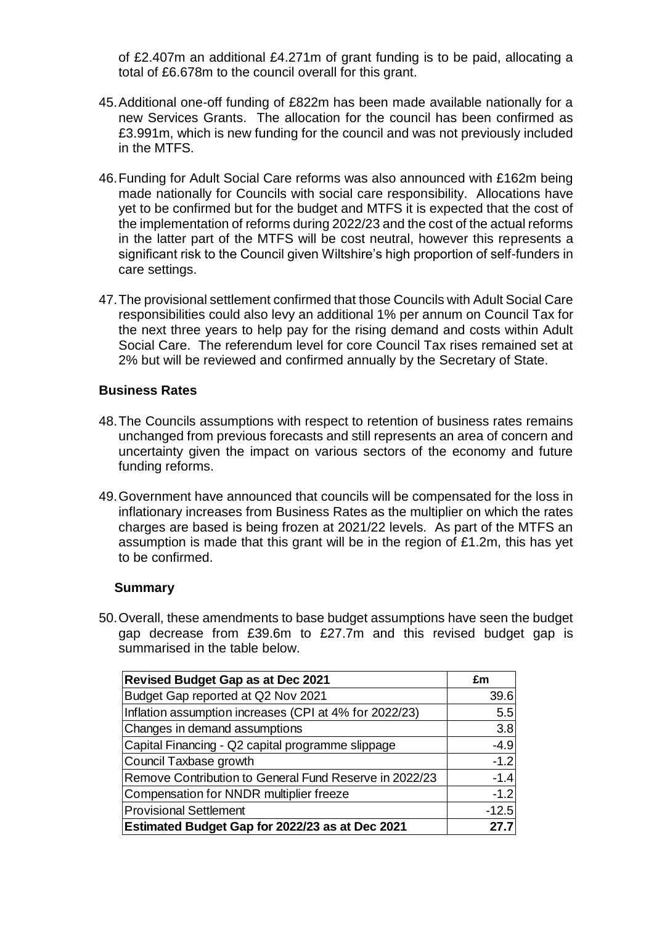of £2.407m an additional £4.271m of grant funding is to be paid, allocating a total of £6.678m to the council overall for this grant.

- 45.Additional one-off funding of £822m has been made available nationally for a new Services Grants. The allocation for the council has been confirmed as £3.991m, which is new funding for the council and was not previously included in the MTFS.
- 46.Funding for Adult Social Care reforms was also announced with £162m being made nationally for Councils with social care responsibility. Allocations have yet to be confirmed but for the budget and MTFS it is expected that the cost of the implementation of reforms during 2022/23 and the cost of the actual reforms in the latter part of the MTFS will be cost neutral, however this represents a significant risk to the Council given Wiltshire's high proportion of self-funders in care settings.
- 47.The provisional settlement confirmed that those Councils with Adult Social Care responsibilities could also levy an additional 1% per annum on Council Tax for the next three years to help pay for the rising demand and costs within Adult Social Care. The referendum level for core Council Tax rises remained set at 2% but will be reviewed and confirmed annually by the Secretary of State.

### **Business Rates**

- 48.The Councils assumptions with respect to retention of business rates remains unchanged from previous forecasts and still represents an area of concern and uncertainty given the impact on various sectors of the economy and future funding reforms.
- 49.Government have announced that councils will be compensated for the loss in inflationary increases from Business Rates as the multiplier on which the rates charges are based is being frozen at 2021/22 levels. As part of the MTFS an assumption is made that this grant will be in the region of £1.2m, this has yet to be confirmed.

#### **Summary**

50.Overall, these amendments to base budget assumptions have seen the budget gap decrease from £39.6m to £27.7m and this revised budget gap is summarised in the table below.

| <b>Revised Budget Gap as at Dec 2021</b>               | £m      |
|--------------------------------------------------------|---------|
| Budget Gap reported at Q2 Nov 2021                     | 39.6    |
| Inflation assumption increases (CPI at 4% for 2022/23) | 5.5     |
| Changes in demand assumptions                          | 3.8     |
| Capital Financing - Q2 capital programme slippage      | $-4.9$  |
| Council Taxbase growth                                 | $-1.2$  |
| Remove Contribution to General Fund Reserve in 2022/23 | $-1.4$  |
| Compensation for NNDR multiplier freeze                | $-1.2$  |
| <b>Provisional Settlement</b>                          | $-12.5$ |
| <b>Estimated Budget Gap for 2022/23 as at Dec 2021</b> | 27.7    |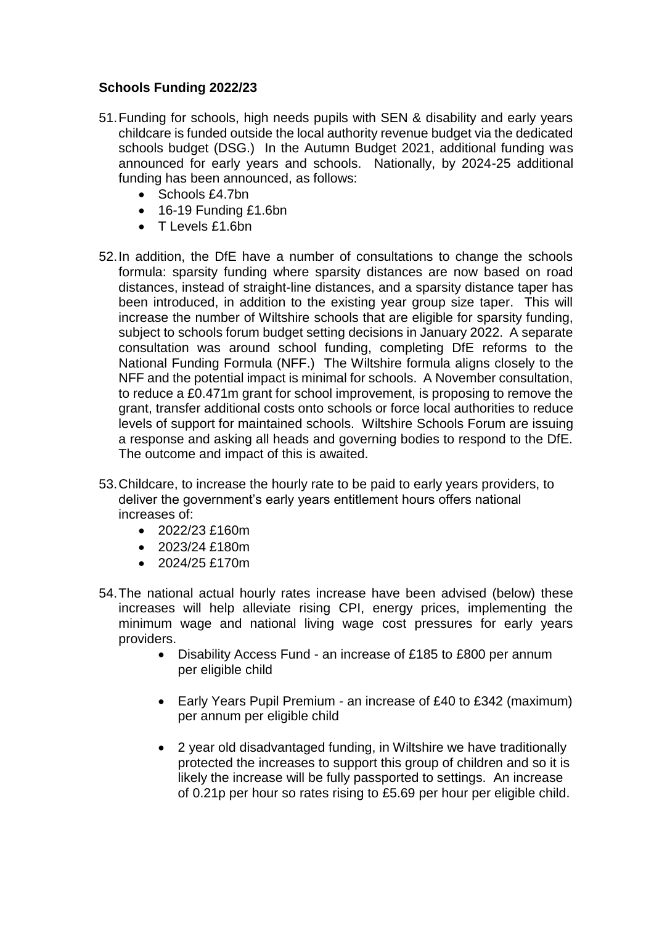# **Schools Funding 2022/23**

- 51.Funding for schools, high needs pupils with SEN & disability and early years childcare is funded outside the local authority revenue budget via the dedicated schools budget (DSG.) In the Autumn Budget 2021, additional funding was announced for early years and schools. Nationally, by 2024-25 additional funding has been announced, as follows:
	- Schools £4.7bn
	- 16-19 Funding £1.6bn
	- T Levels £1.6bn
- 52.In addition, the DfE have a number of consultations to change the schools formula: sparsity funding where sparsity distances are now based on road distances, instead of straight-line distances, and a sparsity distance taper has been introduced, in addition to the existing year group size taper. This will increase the number of Wiltshire schools that are eligible for sparsity funding, subject to schools forum budget setting decisions in January 2022. A separate consultation was around school funding, completing DfE reforms to the National Funding Formula (NFF.) The Wiltshire formula aligns closely to the NFF and the potential impact is minimal for schools. A November consultation, to reduce a £0.471m grant for school improvement, is proposing to remove the grant, transfer additional costs onto schools or force local authorities to reduce levels of support for maintained schools. Wiltshire Schools Forum are issuing a response and asking all heads and governing bodies to respond to the DfE. The outcome and impact of this is awaited.
- 53.Childcare, to increase the hourly rate to be paid to early years providers, to deliver the government's early years entitlement hours offers national increases of:
	- $\bullet$  2022/23 £160m
	- $\cdot$  2023/24 £180m
	- 2024/25 £170m
- 54.The national actual hourly rates increase have been advised (below) these increases will help alleviate rising CPI, energy prices, implementing the minimum wage and national living wage cost pressures for early years providers.
	- Disability Access Fund an increase of £185 to £800 per annum per eligible child
	- Early Years Pupil Premium an increase of £40 to £342 (maximum) per annum per eligible child
	- 2 year old disadvantaged funding, in Wiltshire we have traditionally protected the increases to support this group of children and so it is likely the increase will be fully passported to settings. An increase of 0.21p per hour so rates rising to £5.69 per hour per eligible child.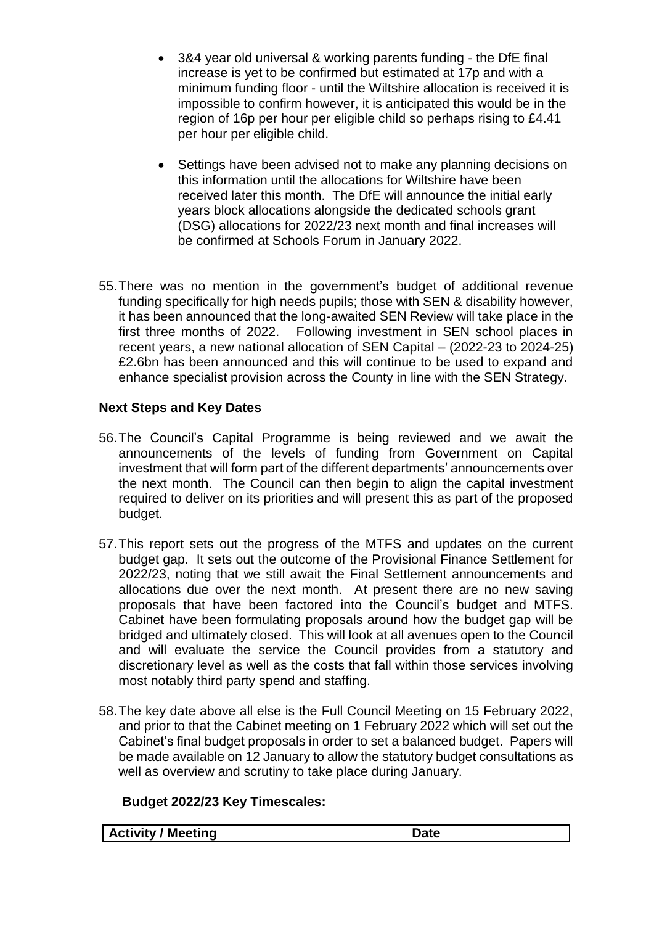- 3&4 year old universal & working parents funding the DfE final increase is yet to be confirmed but estimated at 17p and with a minimum funding floor - until the Wiltshire allocation is received it is impossible to confirm however, it is anticipated this would be in the region of 16p per hour per eligible child so perhaps rising to £4.41 per hour per eligible child.
- Settings have been advised not to make any planning decisions on this information until the allocations for Wiltshire have been received later this month. The DfE will announce the initial early years block allocations alongside the dedicated schools grant (DSG) allocations for 2022/23 next month and final increases will be confirmed at Schools Forum in January 2022.
- 55.There was no mention in the government's budget of additional revenue funding specifically for high needs pupils; those with SEN & disability however, it has been announced that the long-awaited SEN Review will take place in the first three months of 2022. Following investment in SEN school places in recent years, a new national allocation of SEN Capital – (2022-23 to 2024-25) £2.6bn has been announced and this will continue to be used to expand and enhance specialist provision across the County in line with the SEN Strategy.

# **Next Steps and Key Dates**

- 56.The Council's Capital Programme is being reviewed and we await the announcements of the levels of funding from Government on Capital investment that will form part of the different departments' announcements over the next month. The Council can then begin to align the capital investment required to deliver on its priorities and will present this as part of the proposed budget.
- 57.This report sets out the progress of the MTFS and updates on the current budget gap. It sets out the outcome of the Provisional Finance Settlement for 2022/23, noting that we still await the Final Settlement announcements and allocations due over the next month. At present there are no new saving proposals that have been factored into the Council's budget and MTFS. Cabinet have been formulating proposals around how the budget gap will be bridged and ultimately closed. This will look at all avenues open to the Council and will evaluate the service the Council provides from a statutory and discretionary level as well as the costs that fall within those services involving most notably third party spend and staffing.
- 58.The key date above all else is the Full Council Meeting on 15 February 2022, and prior to that the Cabinet meeting on 1 February 2022 which will set out the Cabinet's final budget proposals in order to set a balanced budget. Papers will be made available on 12 January to allow the statutory budget consultations as well as overview and scrutiny to take place during January.

# **Budget 2022/23 Key Timescales:**

| <b>Meeting</b><br><b>Activity</b> |  |
|-----------------------------------|--|
|-----------------------------------|--|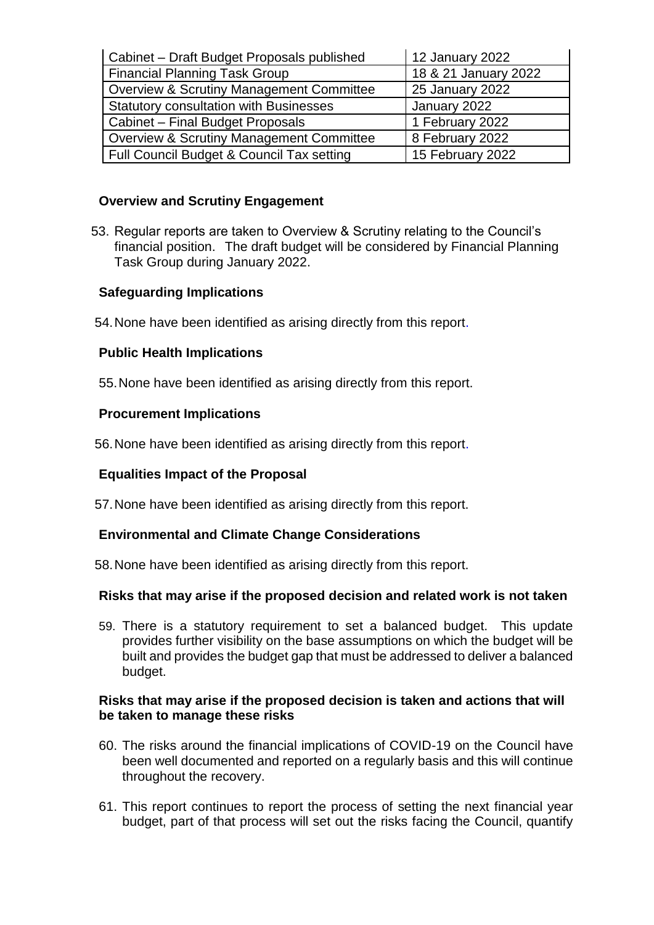| Cabinet - Draft Budget Proposals published          | 12 January 2022      |
|-----------------------------------------------------|----------------------|
| <b>Financial Planning Task Group</b>                | 18 & 21 January 2022 |
| <b>Overview &amp; Scrutiny Management Committee</b> | 25 January 2022      |
| <b>Statutory consultation with Businesses</b>       | January 2022         |
| Cabinet - Final Budget Proposals                    | 1 February 2022      |
| <b>Overview &amp; Scrutiny Management Committee</b> | 8 February 2022      |
| Full Council Budget & Council Tax setting           | 15 February 2022     |

# **Overview and Scrutiny Engagement**

53. Regular reports are taken to Overview & Scrutiny relating to the Council's financial position. The draft budget will be considered by Financial Planning Task Group during January 2022.

# **Safeguarding Implications**

54.None have been identified as arising directly from this report.

## **Public Health Implications**

55.None have been identified as arising directly from this report.

## **Procurement Implications**

56.None have been identified as arising directly from this report.

## **Equalities Impact of the Proposal**

57.None have been identified as arising directly from this report.

## **Environmental and Climate Change Considerations**

58.None have been identified as arising directly from this report.

## **Risks that may arise if the proposed decision and related work is not taken**

59. There is a statutory requirement to set a balanced budget. This update provides further visibility on the base assumptions on which the budget will be built and provides the budget gap that must be addressed to deliver a balanced budget.

### **Risks that may arise if the proposed decision is taken and actions that will be taken to manage these risks**

- 60. The risks around the financial implications of COVID-19 on the Council have been well documented and reported on a regularly basis and this will continue throughout the recovery.
- 61. This report continues to report the process of setting the next financial year budget, part of that process will set out the risks facing the Council, quantify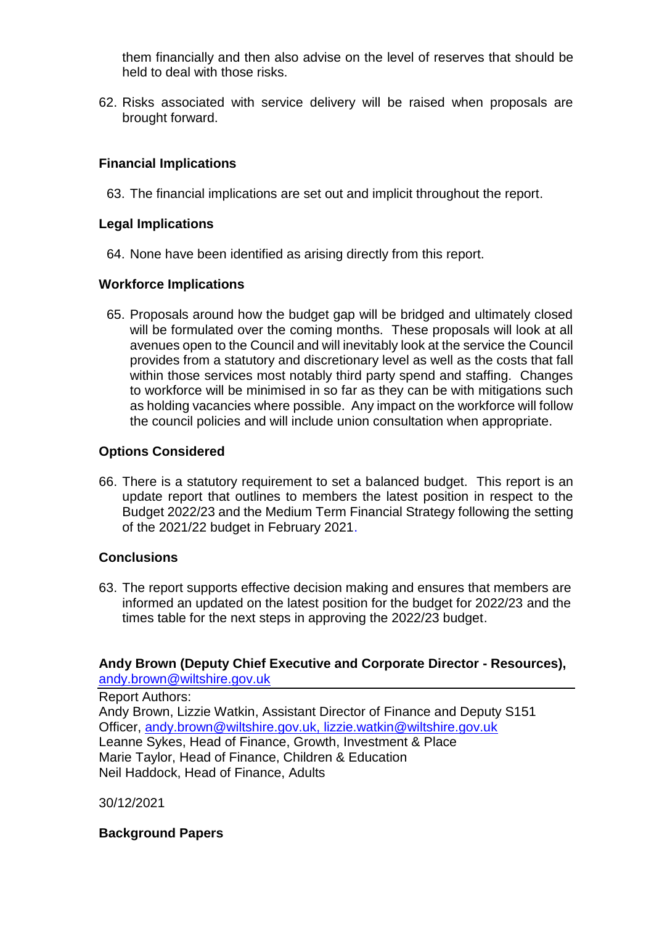them financially and then also advise on the level of reserves that should be held to deal with those risks.

62. Risks associated with service delivery will be raised when proposals are brought forward.

# **Financial Implications**

63. The financial implications are set out and implicit throughout the report.

# **Legal Implications**

64. None have been identified as arising directly from this report.

## **Workforce Implications**

65. Proposals around how the budget gap will be bridged and ultimately closed will be formulated over the coming months. These proposals will look at all avenues open to the Council and will inevitably look at the service the Council provides from a statutory and discretionary level as well as the costs that fall within those services most notably third party spend and staffing. Changes to workforce will be minimised in so far as they can be with mitigations such as holding vacancies where possible. Any impact on the workforce will follow the council policies and will include union consultation when appropriate.

# **Options Considered**

66. There is a statutory requirement to set a balanced budget. This report is an update report that outlines to members the latest position in respect to the Budget 2022/23 and the Medium Term Financial Strategy following the setting of the 2021/22 budget in February 2021.

# **Conclusions**

63. The report supports effective decision making and ensures that members are informed an updated on the latest position for the budget for 2022/23 and the times table for the next steps in approving the 2022/23 budget.

### **Andy Brown (Deputy Chief Executive and Corporate Director - Resources),**  [andy.brown@wiltshire.gov.uk](mailto:andy.brown@wiltshire.gov.uk)

Report Authors: Andy Brown, Lizzie Watkin, Assistant Director of Finance and Deputy S151 Officer, andy.brown@wiltshire.gov.uk, lizzie.watkin@wiltshire.gov.uk Leanne Sykes, Head of Finance, Growth, Investment & Place Marie Taylor, Head of Finance, Children & Education Neil Haddock, Head of Finance, Adults

30/12/2021

## **Background Papers**